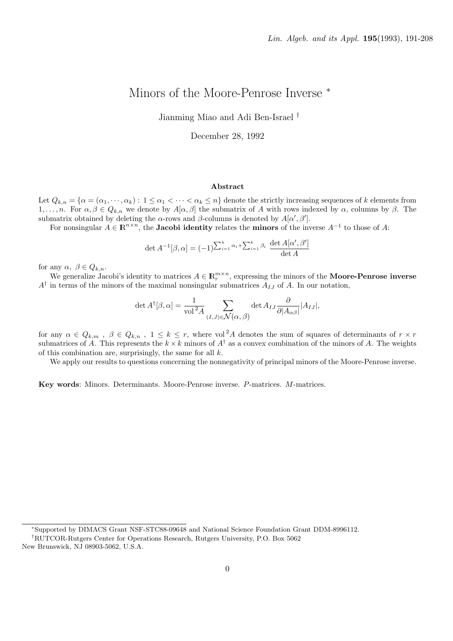# Minors of the Moore-Penrose Inverse <sup>\*</sup>

Jianming Miao and Adi Ben-Israel †

December 28, 1992

#### Abstract

Let  $Q_{k,n} = \{ \alpha = (\alpha_1, \dots, \alpha_k) : 1 \leq \alpha_1 < \dots < \alpha_k \leq n \}$  denote the strictly increasing sequences of k elements from 1, ..., n. For  $\alpha, \beta \in Q_{k,n}$  we denote by  $A[\alpha, \beta]$  the submatrix of A with rows indexed by  $\alpha$ , columns by  $\beta$ . The submatrix obtained by deleting the  $\alpha$ -rows and  $\beta$ -columns is denoted by  $A[\alpha', \beta']$ .

For nonsingular  $A \in \mathbb{R}^{n \times n}$ , the **Jacobi identity** relates the **minors** of the inverse  $A^{-1}$  to those of A:

$$
\det A^{-1}[\beta,\alpha] = (-1)^{\sum_{i=1}^k \alpha_i + \sum_{i=1}^k \beta_i} \frac{\det A[\alpha',\beta']}{\det A}
$$

for any  $\alpha, \ \beta \in Q_{k,n}$ .

We generalize Jacobi's identity to matrices  $A \in \mathbb{R}_r^{m \times n}$ , expressing the minors of the **Moore-Penrose inverse**  $A^{\dagger}$  in terms of the minors of the maximal nonsingular submatrices  $A_{IJ}$  of A. In our notation,

$$
\det A^{\dagger}[\beta,\alpha] = \frac{1}{\text{vol}^2 A} \sum_{(I,J) \in \mathcal{N}(\alpha,\,\beta)} \det A_{IJ} \frac{\partial}{\partial |A_{\alpha\beta}|} |A_{IJ}|,
$$

for any  $\alpha \in Q_{k,m}$ ,  $\beta \in Q_{k,n}$ ,  $1 \leq k \leq r$ , where vol<sup>2</sup>A denotes the sum of squares of determinants of  $r \times r$ submatrices of A. This represents the  $k \times k$  minors of  $A^{\dagger}$  as a convex combination of the minors of A. The weights of this combination are, surprisingly, the same for all  $k$ .

We apply our results to questions concerning the nonnegativity of principal minors of the Moore-Penrose inverse.

Key words: Minors. Determinants. Moore-Penrose inverse. P-matrices. M-matrices.

<sup>∗</sup>Supported by DIMACS Grant NSF-STC88-09648 and National Science Foundation Grant DDM-8996112.

<sup>†</sup>RUTCOR-Rutgers Center for Operations Research, Rutgers University, P.O. Box 5062

New Brunswick, NJ 08903-5062, U.S.A.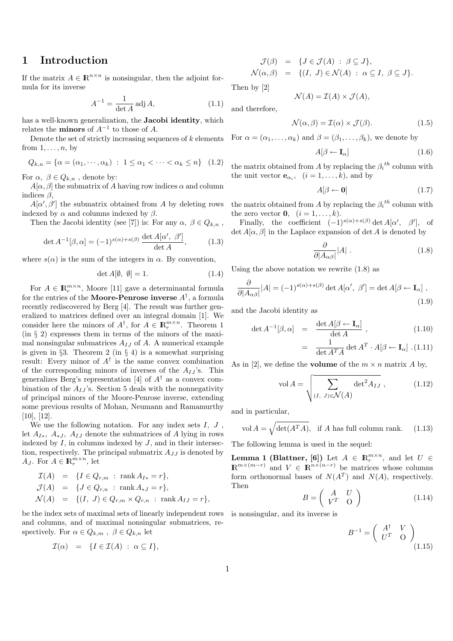#### 1 Introduction

If the matrix  $A \in \mathbb{R}^{n \times n}$  is nonsingular, then the adjoint formula for its inverse

$$
A^{-1} = \frac{1}{\det A} \operatorname{adj} A,\tag{1.1}
$$

has a well-known generalization, the Jacobi identity, which relates the **minors** of  $A^{-1}$  to those of A.

Denote the set of strictly increasing sequences of  $k$  elements from  $1, \ldots, n$ , by

$$
Q_{k,n} = \{ \alpha = (\alpha_1, \cdots, \alpha_k) : 1 \leq \alpha_1 < \cdots < \alpha_k \leq n \} \quad (1.2)
$$

For  $\alpha, \beta \in Q_{k,n}$ , denote by:

 $A[\alpha, \beta]$  the submatrix of A having row indices  $\alpha$  and column indices  $\beta$ .

 $A[\alpha', \beta']$  the submatrix obtained from A by deleting rows indexed by  $\alpha$  and columns indexed by  $\beta$ .

Then the Jacobi identity (see [7]) is: For any  $\alpha, \beta \in Q_{k,n}$ ,

$$
\det A^{-1}[\beta,\alpha] = (-1)^{s(\alpha)+s(\beta)} \frac{\det A[\alpha',\ \beta']}{\det A},\tag{1.3}
$$

where  $s(\alpha)$  is the sum of the integers in  $\alpha$ . By convention,

$$
\det A[\emptyset, \emptyset] = 1. \tag{1.4}
$$

For  $A \in \mathbb{R}_r^{m \times n}$ , Moore [11] gave a determinantal formula for the entries of the **Moore-Penrose inverse**  $A^{\dagger}$ , a formula recently rediscovered by Berg [4]. The result was further generalized to matrices defined over an integral domain [1]. We consider here the minors of  $A^{\dagger}$ , for  $A \in \mathbb{R}_r^{m \times n}$ . Theorem 1 (in § 2) expresses them in terms of the minors of the maximal nonsingular submatrices  $A_{IJ}$  of A. A numerical example is given in §3. Theorem 2 (in § 4) is a somewhat surprising result: Every minor of  $A^{\dagger}$  is the same convex combination of the corresponding minors of inverses of the  $A_{IJ}$ 's. This generalizes Berg's representation [4] of  $A^{\dagger}$  as a convex combination of the  $A_{II}$ 's. Section 5 deals with the nonnegativity of principal minors of the Moore-Penrose inverse, extending some previous results of Mohan, Neumann and Ramamurthy [10], [12].

We use the following notation. For any index sets  $I, J$ , let  $A_{I*}, A_{*J}, A_{IJ}$  denote the submatrices of A lying in rows indexed by  $I$ , in columns indexed by  $J$ , and in their intersection, respectively. The principal submatrix  $A_{JJ}$  is denoted by  $A_J$ . For  $A \in \mathbb{R}_r^{m \times n}$ , let

$$
I(A) = \{I \in Q_{r,m} : \text{rank } A_{I*} = r\},
$$
  
\n
$$
J(A) = \{J \in Q_{r,n} : \text{rank } A_{*J} = r\},
$$
  
\n
$$
\mathcal{N}(A) = \{(I, J) \in Q_{r,m} \times Q_{r,n} : \text{rank } A_{IJ} = r\},
$$

be the index sets of maximal sets of linearly independent rows and columns, and of maximal nonsingular submatrices, respectively. For  $\alpha \in Q_{k,m}$ ,  $\beta \in Q_{k,n}$  let

$$
\mathcal{I}(\alpha) = \{I \in \mathcal{I}(A) : \alpha \subseteq I\},\
$$

$$
\mathcal{J}(\beta) = \{ J \in \mathcal{J}(A) : \beta \subseteq J \},
$$
  
\n
$$
\mathcal{N}(\alpha, \beta) = \{ (I, J) \in \mathcal{N}(A) : \alpha \subseteq I, \beta \subseteq J \}.
$$

Then by [2]

$$
\mathcal{N}(A) = \mathcal{I}(A) \times \mathcal{J}(A),
$$

and therefore,

$$
\mathcal{N}(\alpha, \beta) = \mathcal{I}(\alpha) \times \mathcal{J}(\beta). \tag{1.5}
$$

For  $\alpha = (\alpha_1, \ldots, \alpha_k)$  and  $\beta = (\beta_1, \ldots, \beta_k)$ , we denote by

$$
A[\beta \leftarrow \mathbf{I}_{\alpha}] \tag{1.6}
$$

the matrix obtained from A by replacing the  $\beta_i^{th}$  column with the unit vector  $\mathbf{e}_{\alpha_i}$ ,  $(i = 1, \ldots, k)$ , and by

$$
A[\beta \leftarrow \mathbf{0}] \tag{1.7}
$$

the matrix obtained from A by replacing the  $\beta_i^{th}$  column with the zero vector **0**,  $(i = 1, ..., k)$ .

Finally, the coefficient  $(-1)^{s(\alpha)+s(\beta)} \det A[\alpha', \beta'],$  of det  $A[\alpha, \beta]$  in the Laplace expansion of det A is denoted by

$$
\frac{\partial}{\partial |A_{\alpha\beta}|} |A| \ . \tag{1.8}
$$

Using the above notation we rewrite (1.8) as

$$
\frac{\partial}{\partial |A_{\alpha\beta}|}|A| = (-1)^{s(\alpha) + s(\beta)} \det A[\alpha', \beta'] = \det A[\beta \leftarrow \mathbf{I}_{\alpha}],
$$
\n(1.9)

and the Jacobi identity as

$$
\det A^{-1}[\beta, \alpha] = \frac{\det A[\beta \leftarrow \mathbf{I}_{\alpha}]}{\det A}, \qquad (1.10)
$$

$$
= \frac{1}{\det A^T A} \det A^T \cdot A[\beta \leftarrow \mathbf{I}_{\alpha}]. (1.11)
$$

As in [2], we define the **volume** of the  $m \times n$  matrix A by,

$$
\text{vol}\,A = \sqrt{\sum_{(I,\ J)\in\mathcal{N}(A)} \det^2 A_{IJ}}\,,\tag{1.12}
$$

and in particular,

vol 
$$
A = \sqrt{\det(A^T A)}
$$
, if A has full column rank. (1.13)

The following lemma is used in the sequel:

**Lemma 1 (Blattner, [6])** Let  $A \in \mathbb{R}_r^{m \times n}$ , and let  $U \in$  $\mathbb{R}^{m \times (m-r)}$  and  $V \in \mathbb{R}^{n \times (n-r)}$  be matrices whose columns form orthonormal bases of  $N(A^T)$  and  $N(A)$ , respectively. Then  $\overline{a}$  $\mathbf{r}$ 

$$
B = \left(\begin{array}{cc} A & U \\ V^T & O \end{array}\right) \tag{1.14}
$$

is nonsingular, and its inverse is

$$
B^{-1} = \left(\begin{array}{cc} A^{\dagger} & V \\ U^T & O \end{array}\right)_{(1.15)}
$$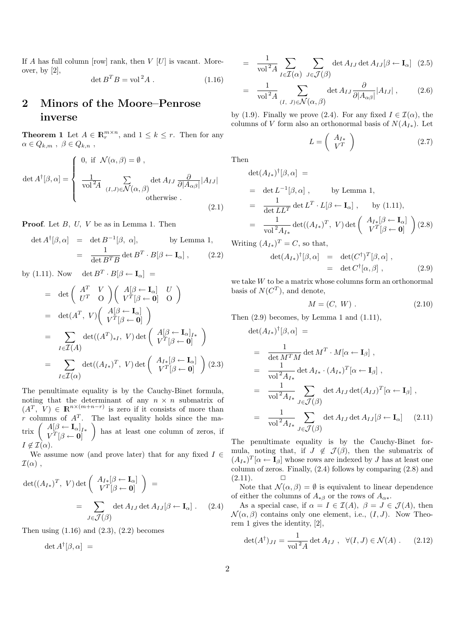If A has full column [row] rank, then  $V$  [U] is vacant. Moreover, by [2],

$$
\det B^T B = \text{vol}^2 A . \qquad (1.16)
$$

## 2 Minors of the Moore–Penrose inverse

**Theorem 1** Let  $A \in \mathbb{R}_r^{m \times n}$ , and  $1 \leq k \leq r$ . Then for any  $\alpha \in Q_{k,m}$ ,  $\beta \in Q_{k,n}$ ,

$$
\det A^{\dagger}[\beta,\alpha] = \begin{cases} 0, & \text{if } \mathcal{N}(\alpha,\beta) = \emptyset, \\ \frac{1}{\text{vol}^2 A} \sum_{(I,J) \in \mathcal{N}(\alpha,\beta)} \det A_{IJ} \frac{\partial}{\partial |A_{\alpha\beta}|} |A_{IJ}| \\ 0 & \text{otherwise} . \end{cases}
$$
(2.1)

**Proof.** Let  $B$ ,  $U$ ,  $V$  be as in Lemma 1. Then

$$
\det A^{\dagger}[\beta, \alpha] = \det B^{-1}[\beta, \alpha], \qquad \text{by Lemma 1,}
$$

$$
= \frac{1}{\det B^{T} B} \det B^{T} \cdot B[\beta \leftarrow \mathbf{I}_{\alpha}], \qquad (2.2)
$$

by (1.11). Now det  $B^T \cdot B[\beta \leftarrow I_\alpha] =$ 

$$
= \det \begin{pmatrix} A^T & V \\ U^T & O \end{pmatrix} \begin{pmatrix} A[\beta \leftarrow \mathbf{I}_{\alpha}] & U \\ V^T[\beta \leftarrow 0] & O \end{pmatrix}
$$
  
\n
$$
= \det(A^T, V) \begin{pmatrix} A[\beta \leftarrow \mathbf{I}_{\alpha}] \\ V^T[\beta \leftarrow 0] \end{pmatrix}
$$
  
\n
$$
= \sum_{I \in \mathcal{I}(A)} \det((A^T)_{*I}, V) \det \begin{pmatrix} A[\beta \leftarrow \mathbf{I}_{\alpha}]_{I*} \\ V^T[\beta \leftarrow 0] \end{pmatrix}
$$
  
\n
$$
= \sum_{I \in \mathcal{I}(\alpha)} \det((A_{I*})^T, V) \det \begin{pmatrix} A_{I*}[\beta \leftarrow \mathbf{I}_{\alpha}] \\ V^T[\beta \leftarrow 0] \end{pmatrix} (2.3)
$$

The penultimate equality is by the Cauchy-Binet formula, noting that the determinant of any  $n \times n$  submatrix of  $(A^T, V) \in \mathbb{R}^{n \times (m+n-r)}$  is zero if it consists of more than r columns of  $A<sup>T</sup>$ . The last equality holds since the mar columns of  $A^*$ .<br>
trix  $\begin{pmatrix} A[\beta \leftarrow \mathbf{I}_{\alpha}]_{I*} \\ V^T[\beta \leftarrow \mathbf{0}] \end{pmatrix}$ has at least one column of zeros, if  $I \notin \mathcal{I}(\alpha)$ .

We assume now (and prove later) that for any fixed  $I \in$  $\mathcal{I}(\alpha)$ ,

$$
\det((A_{I*})^T, V) \det\begin{pmatrix} A_{I*}[\beta \leftarrow \mathbf{I}_{\alpha}] \\ V^T[\beta \leftarrow 0] \end{pmatrix} =
$$
  
= 
$$
\sum_{J \in \mathcal{J}(\beta)} \det A_{IJ} \det A_{IJ}[\beta \leftarrow \mathbf{I}_{\alpha}] .
$$
 (2.4)

Then using  $(1.16)$  and  $(2.3)$ ,  $(2.2)$  becomes

 $\det A^{\dagger}[\beta,\alpha] =$ 

$$
= \frac{1}{\text{vol}^2 A} \sum_{I \in \mathcal{I}(\alpha)} \sum_{J \in \mathcal{J}(\beta)} \det A_{IJ} \det A_{IJ} [\beta \leftarrow \mathbf{I}_{\alpha}] \tag{2.5}
$$

$$
= \frac{1}{\text{vol}^2 A} \sum_{(I, J) \in \mathcal{N}(\alpha, \beta)} \det A_{IJ} \frac{\partial}{\partial |A_{\alpha\beta}|} |A_{IJ}| , \qquad (2.6)
$$

by (1.9). Finally we prove (2.4). For any fixed  $I \in \mathcal{I}(\alpha)$ , the columns of V form also an orthonormal basis of  $N(A_{I*})$ . Let

$$
L = \left(\begin{array}{c} A_{I*} \\ V^T \end{array}\right) \tag{2.7}
$$

Then

$$
\begin{aligned}\n\det(A_{I*})^{\dagger}[\beta,\alpha] &= \\
&= \det L^{-1}[\beta,\alpha] , \qquad \text{by Lemma 1,} \\
&= \frac{1}{\det LL^T} \det L^T \cdot L[\beta \leftarrow \mathbf{I}_{\alpha}] , \qquad \text{by (1.11),} \\
&= \frac{1}{\text{vol}^2 A_{I*}} \det((A_{I*})^T, V) \det \begin{pmatrix} A_{I*}[\beta \leftarrow \mathbf{I}_{\alpha}] \\ V^T[\beta \leftarrow 0] \end{pmatrix} (2.8)\n\end{aligned}
$$

Writing  $(A_{I*})^T = C$ , so that,

$$
\det(A_{I*})^{\dagger}[\beta,\alpha] = \det(C^{\dagger})^T[\beta,\alpha],
$$
  
= \det C^{\dagger}[\alpha,\beta], \qquad (2.9)

we take W to be a matrix whose columns form an orthonormal basis of  $N(C^T)$ , and denote,

$$
M = (C, W) . \tag{2.10}
$$

Then  $(2.9)$  becomes, by Lemma 1 and  $(1.11)$ ,

$$
\det(A_{I*})^{\dagger}[\beta, \alpha] =
$$
\n
$$
= \frac{1}{\det M^{T}M} \det M^{T} \cdot M[\alpha \leftarrow \mathbf{I}_{\beta}],
$$
\n
$$
= \frac{1}{\text{vol}^{2}A_{I*}} \det A_{I*} \cdot (A_{I*})^{T}[\alpha \leftarrow \mathbf{I}_{\beta}],
$$
\n
$$
= \frac{1}{\text{vol}^{2}A_{I*}} \sum_{J \in \mathcal{J}(\beta)} \det A_{IJ} \det (A_{IJ})^{T}[\alpha \leftarrow \mathbf{I}_{\beta}],
$$
\n
$$
= \frac{1}{\text{vol}^{2}A_{I*}} \sum_{J \in \mathcal{J}(\beta)} \det A_{IJ} \det A_{IJ}[\beta \leftarrow \mathbf{I}_{\alpha}] \quad (2.11)
$$

The penultimate equality is by the Cauchy-Binet formula, noting that, if  $J \notin \mathcal{J}(\beta)$ , then the submatrix of  $(A_{I*})^T[\alpha \leftarrow I_{\beta}]$  whose rows are indexed by J has at least one column of zeros. Finally, (2.4) follows by comparing (2.8) and  $(2.11).$ 

Note that  $\mathcal{N}(\alpha, \beta) = \emptyset$  is equivalent to linear dependence of either the columns of  $A_{\ast\beta}$  or the rows of  $A_{\alpha\ast}$ .

As a special case, if  $\alpha = I \in \mathcal{I}(A)$ ,  $\beta = J \in \mathcal{J}(A)$ , then  $\mathcal{N}(\alpha, \beta)$  contains only one element, i.e.,  $(I, J)$ . Now Theorem 1 gives the identity, [2],

$$
\det(A^{\dagger})_{JI} = \frac{1}{\text{vol}^2 A} \det A_{IJ} , \quad \forall (I, J) \in \mathcal{N}(A) .
$$
 (2.12)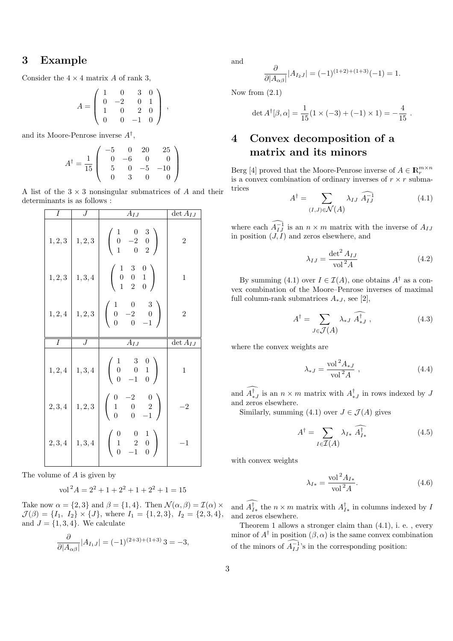### 3 Example

Consider the  $4 \times 4$  matrix A of rank 3,

$$
A = \left(\begin{array}{cccc} 1 & 0 & 3 & 0 \\ 0 & -2 & 0 & 1 \\ 1 & 0 & 2 & 0 \\ 0 & 0 & -1 & 0 \end{array}\right) ,
$$

and its Moore-Penrose inverse  $A^{\dagger}$ ,

$$
A^{\dagger} = \frac{1}{15} \begin{pmatrix} -5 & 0 & 20 & 25 \\ 0 & -6 & 0 & 0 \\ 5 & 0 & -5 & -10 \\ 0 & 3 & 0 & 0 \end{pmatrix}
$$

A list of the  $3 \times 3$  nonsingular submatrices of A and their determinants is as follows :

| Ι       | $\cal J$ | $A_{IJ}$                                                                                       | $\det A_{IJ}$            |
|---------|----------|------------------------------------------------------------------------------------------------|--------------------------|
| 1, 2, 3 | 1, 2, 3  | $\left(\begin{array}{ccc} 1 & 0 & 3 \\ 0 & -2 & 0 \\ 1 & 0 & 2 \end{array}\right)$             | $\boldsymbol{2}$         |
| 1, 2, 3 | 1, 3, 4  | $\left(\begin{array}{ccc} 1 & 3 & 0 \\ 0 & 0 & 1 \\ 1 & 2 & 0 \end{array}\right)$              | $\mathbf 1$              |
| 1, 2, 4 | 1, 2, 3  | $\left(\begin{array}{ccc} 1 & 0 & 3 \\ 0 & -2 & 0 \\ 0 & 0 & -1 \end{array}\right)$            | $\overline{2}$           |
|         |          |                                                                                                |                          |
| Ι       | J        |                                                                                                | $\overline{\det A_{IJ}}$ |
| 1, 2, 4 | 1, 3, 4  | $A_{IJ}$<br>$\left(\begin{array}{ccc} 1 & 3 & 0 \\ 0 & 0 & 1 \\ 0 & -1 & 0 \end{array}\right)$ | $\mathbf{1}$             |
| $2,3,4$ | $1,2,3$  | $\left(\begin{array}{ccc} 0 & -2 & 0 \\ 1 & 0 & 2 \\ 0 & 0 & -1 \end{array}\right)$            | $^{-2}$                  |

The volume of A is given by

$$
\text{vol}^2 A = 2^2 + 1 + 2^2 + 1 + 2^2 + 1 = 15
$$

Take now  $\alpha = \{2, 3\}$  and  $\beta = \{1, 4\}$ . Then  $\mathcal{N}(\alpha, \beta) = \mathcal{I}(\alpha) \times$  $\mathcal{J}(\beta) = \{I_1, I_2\} \times \{J\}$ , where  $I_1 = \{1, 2, 3\}$ ,  $I_2 = \{2, 3, 4\}$ , and  $J = \{1, 3, 4\}$ . We calculate

$$
\frac{\partial}{\partial |A_{\alpha\beta}|} |A_{I_1J}| = (-1)^{(2+3)+(1+3)} 3 = -3,
$$

and

$$
\frac{\partial}{\partial |A_{\alpha\beta}|} |A_{I_2J}| = (-1)^{(1+2)+(1+3)}(-1) = 1.
$$

Now from  $(2.1)$ 

$$
\det A^{\dagger}[\beta,\alpha] = \frac{1}{15}(1 \times (-3) + (-1) \times 1) = -\frac{4}{15}.
$$

# 4 Convex decomposition of a matrix and its minors

Berg [4] proved that the Moore-Penrose inverse of  $A \in \mathbb{R}_r^{m \times n}$ is a convex combination of ordinary inverses of  $r \times r$  submatrices  $\overline{a}$ 

$$
A^{\dagger} = \sum_{(I,J)\in\mathcal{N}(A)} \lambda_{IJ} \widehat{A_{IJ}^{-1}} \tag{4.1}
$$

where each  $\widehat{A_{IJ}}$  is an  $n \times m$  matrix with the inverse of  $A_{IJ}$ in position  $(J, I)$  and zeros elsewhere, and

$$
\lambda_{IJ} = \frac{\det^2 A_{IJ}}{\text{vol}^2 A} \tag{4.2}
$$

By summing (4.1) over  $I \in \mathcal{I}(A)$ , one obtains  $A^{\dagger}$  as a convex combination of the Moore–Penrose inverses of maximal full column-rank submatrices  $A_{\ast,I}$ , see [2],

$$
A^{\dagger} = \sum_{J \in \mathcal{J}(A)} \lambda_{*J} \widehat{A^{\dagger}_{*J}} , \qquad (4.3)
$$

where the convex weights are

$$
\lambda_{*J} = \frac{\text{vol}^2 A_{*J}}{\text{vol}^2 A} \,,\tag{4.4}
$$

and  $\widehat{A_{*J}^{\dagger}}$  is an  $n \times m$  matrix with  $A_{*J}^{\dagger}$  in rows indexed by J and zeros elsewhere.

Similarly, summing (4.1) over  $J \in \mathcal{J}(A)$  gives

$$
A^{\dagger} = \sum_{I \in \mathcal{I}(A)} \lambda_{I*} \widehat{A^{\dagger}_{I*}} \tag{4.5}
$$

with convex weights

$$
\lambda_{I*} = \frac{\text{vol}^2 A_{I*}}{\text{vol}^2 A}.
$$
\n(4.6)

and  $\widehat{A^{\dagger}_{I*}}$  the  $n \times m$  matrix with  $A^{\dagger}_{I*}$  in columns indexed by  $I$ and zeros elsewhere.

Theorem 1 allows a stronger claim than (4.1), i. e. , every minor of  $A^{\dagger}$  in position  $(\beta, \alpha)$  is the same convex combination of the minors of  $\widehat{A_{IJ}}^1$ 's in the corresponding position: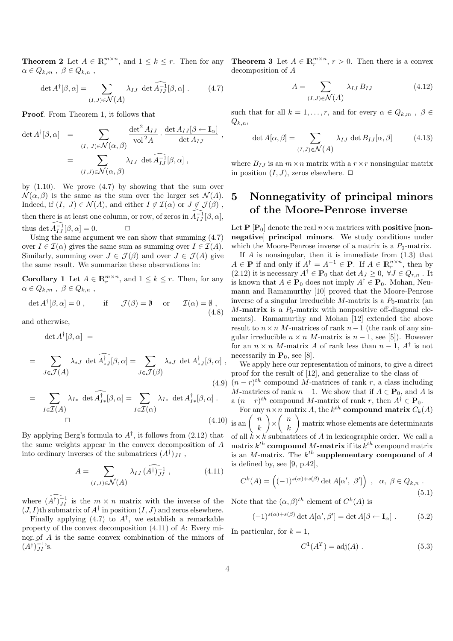$\alpha \in Q_{k,m}$ ,  $\beta \in Q_{k,n}$ ,

$$
\det A^{\dagger}[\beta,\alpha] = \sum_{(I,J)\in\mathcal{N}(A)} \lambda_{IJ} \det \widehat{A_{IJ}}[\beta,\alpha] . \qquad (4.7)
$$

Proof. From Theorem 1, it follows that

$$
\det A^{\dagger}[\beta, \alpha] = \sum_{(I, J) \in \mathcal{N}(\alpha, \beta)} \frac{\det^2 A_{IJ}}{\text{vol}^2 A} \cdot \frac{\det A_{IJ}[\beta \leftarrow \mathbf{I}_{\alpha}]}{\det A_{IJ}}
$$

$$
= \sum_{(I, J) \in \mathcal{N}(\alpha, \beta)} \lambda_{IJ} \det \widehat{A_{IJ}}[\beta, \alpha],
$$

by (1.10). We prove (4.7) by showing that the sum over  $\mathcal{N}(\alpha, \beta)$  is the same as the sum over the larger set  $\mathcal{N}(A)$ . Indeed, if  $(I, J) \in \mathcal{N}(A)$ , and either  $I \notin \mathcal{I}(\alpha)$  or  $J \notin \mathcal{J}(\beta)$ , then there is at least one column, or row, of zeros in  $\widehat{A^{-1}_{IJ}}[\beta,\alpha]$ , thus det  $\widehat{A_{IJ}}[\beta,\alpha] = 0.$   $\Box$ 

Using the same argument we can show that summing (4.7) over  $I \in \mathcal{I}(\alpha)$  gives the same sum as summing over  $I \in \mathcal{I}(A)$ . Similarly, summing over  $J \in \mathcal{J}(\beta)$  and over  $J \in \mathcal{J}(A)$  give the same result. We summarize these observations in:

**Corollary 1** Let  $A \in \mathbb{R}_r^{m \times n}$ , and  $1 \leq k \leq r$ . Then, for any  $\alpha \in Q_{k,m}$ ,  $\beta \in Q_{k,n}$ ,

$$
\det A^{\dagger}[\beta, \alpha] = 0 , \quad \text{if} \quad \mathcal{J}(\beta) = \emptyset \quad \text{or} \quad \mathcal{I}(\alpha) = \emptyset ,
$$
\n(4.8)

and otherwise,

$$
\det A^{\dagger}[\beta, \alpha] =
$$
\n
$$
= \sum_{J \in \mathcal{J}(A)} \lambda_{*J} \det \widehat{A^{\dagger}_{*J}}[\beta, \alpha] = \sum_{J \in \mathcal{J}(\beta)} \lambda_{*J} \det A^{\dagger}_{*J}[\beta, \alpha],
$$
\n
$$
= \sum_{I \in \mathcal{I}(A)} \lambda_{I*} \det \widehat{A^{\dagger}_{I*}}[\beta, \alpha] = \sum_{I \in \mathcal{I}(\alpha)} \lambda_{I*} \det A^{\dagger}_{I*}[\beta, \alpha].
$$
\n(4.9)

$$
\Box \tag{4.10}
$$

By applying Berg's formula to  $A^{\dagger}$ , it follows from (2.12) that the same weights appear in the convex decomposition of A into ordinary inverses of the submatrices  $(A^{\dagger})_{JI}$ ,

$$
A = \sum_{(I,J)\in\mathcal{N}(A)} \lambda_{IJ} (\widehat{A^{\dagger}})^{-1}_{JI}, \qquad (4.11)
$$

where  $(\widehat{A^{\dagger}})_{JI}^{-1}$  is the  $m \times n$  matrix with the inverse of the  $(J, I)$ th submatrix of  $A^{\dagger}$  in position  $(I, J)$  and zeros elsewhere.

Finally applying  $(4.7)$  to  $A^{\dagger}$ , we establish a remarkable property of the convex decomposition (4.11) of A: Every minor of A is the same convex combination of the minors of  $(A^{\dagger})^{-1}_{JI}$ 's.

**Theorem 2** Let  $A \in \mathbb{R}_r^{m \times n}$ , and  $1 \leq k \leq r$ . Then for any **Theorem 3** Let  $A \in \mathbb{R}_r^{m \times n}$ ,  $r > 0$ . Then there is a convex decomposition of A

$$
A = \sum_{(I,J)\in\mathcal{N}(A)} \lambda_{IJ} B_{IJ} \tag{4.12}
$$

such that for all  $k = 1, \ldots, r$ , and for every  $\alpha \in Q_{k,m}$ ,  $\beta \in$  $Q_{k,n}$ 

$$
\det A[\alpha, \beta] = \sum_{(I,J) \in \mathcal{N}(A)} \lambda_{IJ} \det B_{IJ}[\alpha, \beta]
$$
 (4.13)

where  $B_{IJ}$  is an  $m \times n$  matrix with a  $r \times r$  nonsingular matrix in position  $(I, J)$ , zeros elsewhere.  $\Box$ 

## 5 Nonnegativity of principal minors of the Moore-Penrose inverse

Let  $P [P_0]$  denote the real  $n \times n$  matrices with **positive** [nonnegative] principal minors. We study conditions under which the Moore-Penrose inverse of a matrix is a  $P_0$ -matrix.

If  $A$  is nonsingular, then it is immediate from  $(1.3)$  that  $A \in \mathbf{P}$  if and only if  $A^{\dagger} = A^{-1} \in \mathbf{P}$ . If  $A \in \mathbb{R}_r^{n \times n}$ , then by (2.12) it is necessary  $A^{\dagger} \in \mathbf{P}_0$  that  $\det A_J \geq 0$ ,  $\forall J \in Q_{r,n}$ . It is known that  $A \in \mathbf{P}_0$  does not imply  $A^{\dagger} \in \mathbf{P}_0$ . Mohan, Neumann and Ramamurthy [10] proved that the Moore-Penrose inverse of a singular irreducible M-matrix is a  $P_0$ -matrix (an M-**matrix** is a  $P_0$ -matrix with nonpositive off-diagonal elements). Ramamurthy and Mohan [12] extended the above result to  $n \times n$  M-matrices of rank  $n-1$  (the rank of any singular irreducible  $n \times n$  M-matrix is  $n - 1$ , see [5]). However for an  $n \times n$  M-matrix A of rank less than  $n-1$ ,  $A^{\dagger}$  is not necessarily in  $P_0$ , see [8].

We apply here our representation of minors, to give a direct proof for the result of [12], and generalize to the class of  $(n - r)^{th}$  compound M-matrices of rank r, a class including M-matrices of rank  $n-1$ . We show that if  $A \in \mathbf{P}_0$ , and A is a  $(n-r)^{th}$  compound M-matrix of rank r, then  $A^{\dagger} \in \mathbf{P}_0$ .

For any  $n \times n$  matrix A, the  $k^{th}$  compound matrix  $C_k(A)$ For any<br>is an  $\begin{pmatrix} n \\ n \end{pmatrix}$ k  $\mathbb{R}^n$ ×  $\frac{n}{n}$ k tr<br>\ matrix whose elements are determinants of all  $k \times k$  submatrices of A in lexicographic order. We call a matrix  $k^{th}$  **compound M-matrix** if its  $k^{th}$  compound matrix is an *M*-matrix. The  $k^{th}$  supplementary compound of *A* is defined by, see [9, p.42],

$$
C^{k}(A) = \left( (-1)^{s(\alpha) + s(\beta)} \det A[\alpha', \beta'] \right) , \alpha, \beta \in Q_{k,n} .
$$
\n(5.1)

Note that the  $(\alpha, \beta)^{th}$  element of  $C^k(A)$  is

$$
(-1)^{s(\alpha)+s(\beta)} \det A[\alpha', \beta'] = \det A[\beta \leftarrow \mathbf{I}_{\alpha}]. \tag{5.2}
$$

In particular, for  $k = 1$ ,

$$
C^1(A^T) = \text{adj}(A) . \tag{5.3}
$$

,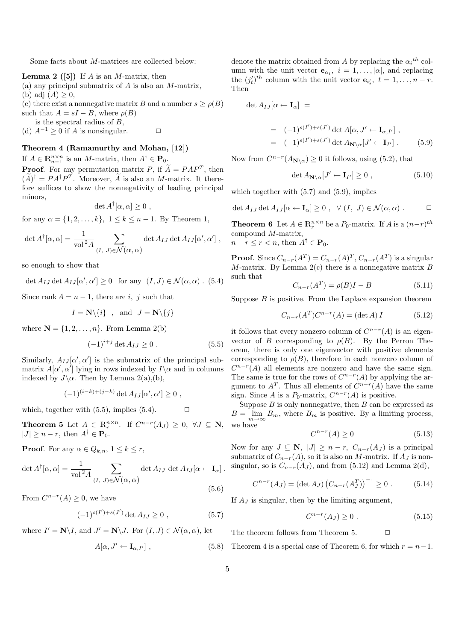Some facts about M-matrices are collected below:

**Lemma 2** ([5]) If A is an M-matrix, then

- (a) any principal submatrix of  $A$  is also an  $M$ -matrix,
- (b) adj  $(A) \geq 0$ ,

(c) there exist a nonnegative matrix B and a number  $s \geq \rho(B)$ such that  $A = sI - B$ , where  $\rho(B)$ 

is the spectral radius of B,

(d)  $A^{-1} \geq 0$  if A is nonsingular.  $\Box$ 

#### Theorem 4 (Ramamurthy and Mohan, [12])

If  $A \in \mathbb{R}_{n-1}^{n \times n}$  is an M-matrix, then  $A^{\dagger} \in \mathbf{P}_0$ . **Proof.** For any permutation matrix P, if  $\widetilde{A} = PAP^T$ , then  $(\widetilde{A})^{\dagger} = PA^{\dagger}P^{T}$ . Moreover,  $\widetilde{A}$  is also an *M*-matrix. It therefore suffices to show the nonnegativity of leading principal minors,

$$
\det A^{\dagger}[\alpha,\alpha] \geq 0 ,
$$

for any  $\alpha = \{1, 2, ..., k\}, 1 \le k \le n - 1$ . By Theorem 1,

$$
\det A^{\dagger}[\alpha,\alpha] = \frac{1}{\text{vol}^2 A} \sum_{(I, J) \in \mathcal{N}(\alpha,\alpha)} \det A_{IJ} \det A_{IJ}[\alpha',\alpha'] ,
$$

so enough to show that

det  $A_{IJ}$  det  $A_{IJ}[\alpha', \alpha'] \ge 0$  for any  $(I, J) \in \mathcal{N}(\alpha, \alpha)$ . (5.4)

Since rank  $A = n - 1$ , there are i, j such that

$$
I = \mathbb{N}\backslash\{i\}
$$
, and  $J = \mathbb{N}\backslash\{j\}$ 

where  $\mathbf{N} = \{1, 2, \ldots, n\}$ . From Lemma 2(b)

$$
(-1)^{i+j} \det A_{IJ} \ge 0 \tag{5.5}
$$

Similarly,  $A_{IJ}[\alpha', \alpha']$  is the submatrix of the principal submatrix  $A[\alpha', \alpha']$  lying in rows indexed by  $I\setminus\alpha$  and in columns indexed by  $J\setminus\alpha$ . Then by Lemma 2(a),(b),

$$
(-1)^{(i-k)+(j-k)} \det A_{IJ}[\alpha', \alpha'] \ge 0 ,
$$

which, together with  $(5.5)$ , implies  $(5.4)$ .  $\Box$ 

**Theorem 5** Let  $A \in \mathbb{R}^{n \times n}_{r}$ . If  $C^{n-r}(A_J) \geq 0, \forall J \subseteq \mathbb{N}$ ,  $|J| \geq n-r$ , then  $A^{\dagger} \in \mathbf{P}_0$ .

**Proof.** For any  $\alpha \in Q_{k,n}$ ,  $1 \leq k \leq r$ ,

$$
\det A^{\dagger}[\alpha,\alpha] = \frac{1}{\text{vol}^2 A} \sum_{(I,\ J)\in\mathcal{N}(\alpha,\alpha)} \det A_{IJ} \det A_{IJ}[\alpha \leftarrow \mathbf{I}_{\alpha}].
$$
\n(5.6)

From  $C^{n-r}(A) \geq 0$ , we have

$$
(-1)^{s(I') + s(J')} \det A_{IJ} \ge 0 , \qquad (5.7)
$$

where  $I' = \mathbb{N} \backslash I$ , and  $J' = \mathbb{N} \backslash J$ . For  $(I, J) \in \mathcal{N}(\alpha, \alpha)$ , let

$$
A[\alpha, J' \leftarrow \mathbf{I}_{\alpha, I'}], \tag{5.8}
$$

denote the matrix obtained from A by replacing the  $\alpha_i{}^{th}$  column with the unit vector  $\mathbf{e}_{\alpha_i}$ ,  $i = 1, \ldots, |\alpha|$ , and replacing the  $(j_t')^{th}$  column with the unit vector  $\mathbf{e}_{i_t'}, t = 1, \ldots, n-r$ . Then

$$
\det A_{IJ}[\alpha \leftarrow \mathbf{I}_\alpha] =
$$

$$
= (-1)^{s(I') + s(J')} \det A[\alpha, J' \leftarrow \mathbf{I}_{\alpha, I'}],
$$
  

$$
= (-1)^{s(I') + s(J')} \det A_{\mathbf{N} \setminus \alpha}[J' \leftarrow \mathbf{I}_{I'}]. \qquad (5.9)
$$

Now from  $C^{n-r}(A_{\mathbf{N}\setminus\alpha})\geq 0$  it follows, using (5.2), that

$$
\det A_{\mathbf{N}\setminus\alpha}[J' \leftarrow \mathbf{I}_{I'}] \ge 0 ,\qquad (5.10)
$$

which together with  $(5.7)$  and  $(5.9)$ , implies

$$
\det A_{IJ} \det A_{IJ}[\alpha \leftarrow \mathbf{I}_{\alpha}] \geq 0 \ , \ \ \forall (I, J) \in \mathcal{N}(\alpha, \alpha) \ . \Box
$$

**Theorem 6** Let  $A \in \mathbb{R}_r^{n \times n}$  be a  $P_0$ -matrix. If  $A$  is a  $(n-r)^{th}$ compound M-matrix,  $n-r \leq r < n$ , then  $A^{\dagger} \in \mathbf{P}_0$ .

**Proof.** Since  $C_{n-r}(A^T) = C_{n-r}(A)^T$ ,  $C_{n-r}(A^T)$  is a singular M-matrix. By Lemma  $2(c)$  there is a nonnegative matrix B such that

$$
C_{n-r}(A^T) = \rho(B)I - B \tag{5.11}
$$

Suppose  $B$  is positive. From the Laplace expansion theorem

$$
C_{n-r}(A^T)C^{n-r}(A) = (\det A) I \tag{5.12}
$$

it follows that every nonzero column of  $C^{n-r}(A)$  is an eigenvector of B corresponding to  $\rho(B)$ . By the Perron Theorem, there is only one eigenvector with positive elements corresponding to  $\rho(B)$ , therefore in each nonzero column of  $C^{n-r}(A)$  all elements are nonzero and have the same sign. The same is true for the rows of  $C^{n-r}(A)$  by applying the argument to  $A<sup>T</sup>$ . Thus all elements of  $C^{n-r}(A)$  have the same sign. Since A is a  $P_0$ -matrix,  $C^{n-r}(A)$  is positive.

Suppose  $B$  is only nonnegative, then  $B$  can be expressed as  $B = \lim_{m \to \infty} B_m$ , where  $B_m$  is positive. By a limiting process, we have

$$
C^{n-r}(A) \ge 0\tag{5.13}
$$

Now for any  $J \subseteq \mathbf{N}$ ,  $|J| \geq n-r$ ,  $C_{n-r}(A_J)$  is a principal submatrix of  $C_{n-r}(A)$ , so it is also an M-matrix. If  $A_J$  is nonsingular, so is  $C_{n-r}(A_J)$ , and from (5.12) and Lemma 2(d),

$$
C^{n-r}(A_J) = (\det A_J) (C_{n-r}(A_J^T))^{-1} \ge 0.
$$
 (5.14)

If  $A_J$  is singular, then by the limiting argument,

$$
C^{n-r}(A_J) \ge 0.
$$
\n
$$
(5.15)
$$

The theorem follows from Theorem 5.  $\Box$ 

Theorem 4 is a special case of Theorem 6, for which  $r = n-1$ .